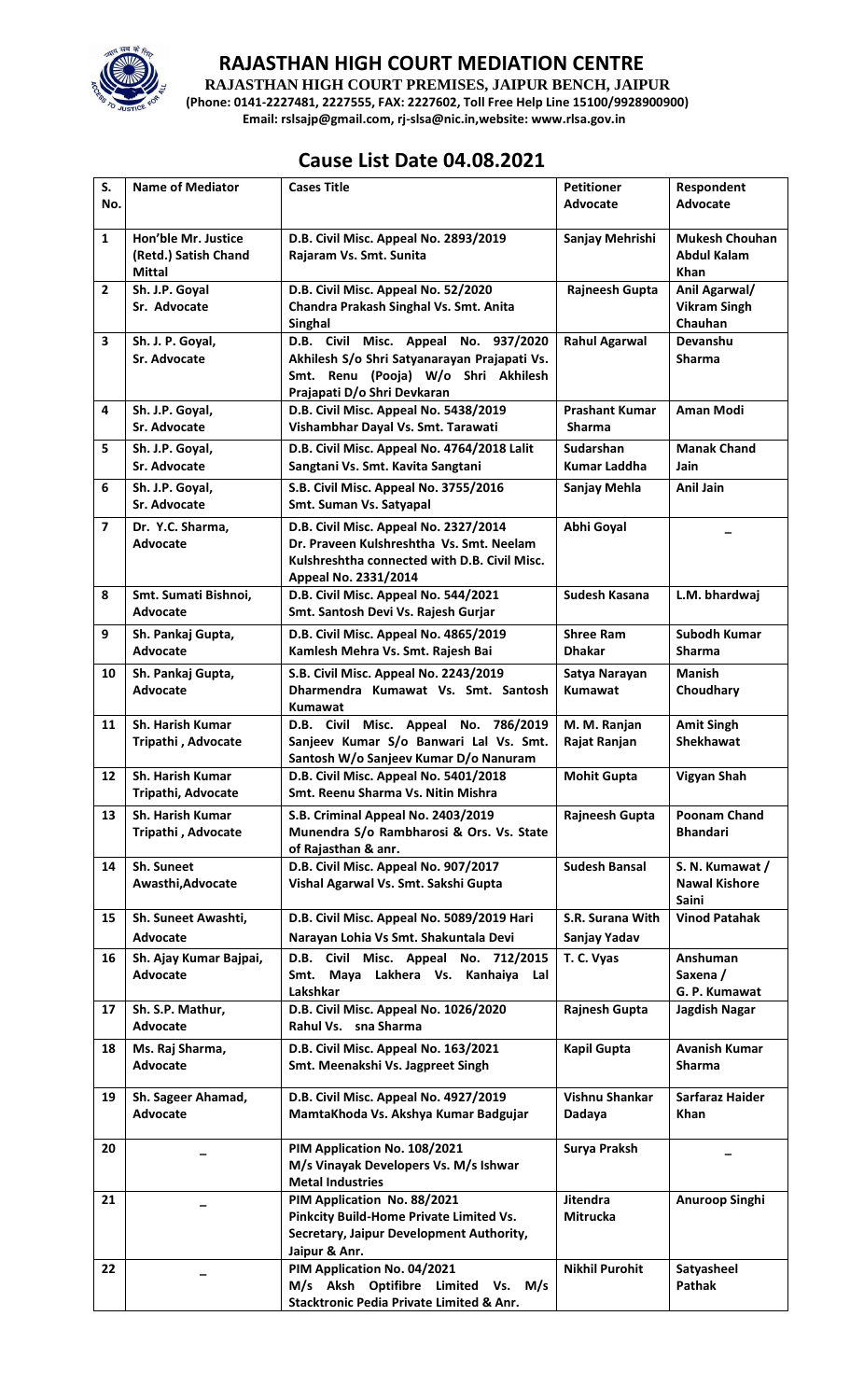

## **RAJASTHAN HIGH COURT MEDIATION CENTRE**

**RAJASTHAN HIGH COURT PREMISES, JAIPUR BENCH, JAIPUR (Phone: 0141-2227481, 2227555, FAX: 2227602, Toll Free Help Line 15100/9928900900) Email: rslsajp@gmail.com, rj-slsa@nic.in,website: www.rlsa.gov.in**

## **Cause List Date 04.08.2021**

| S.             | <b>Name of Mediator</b>                                      | <b>Cases Title</b>                                                             | <b>Petitioner</b>           | Respondent                                          |
|----------------|--------------------------------------------------------------|--------------------------------------------------------------------------------|-----------------------------|-----------------------------------------------------|
| No.            |                                                              |                                                                                | <b>Advocate</b>             | <b>Advocate</b>                                     |
|                |                                                              |                                                                                |                             |                                                     |
| $\mathbf{1}$   | Hon'ble Mr. Justice<br>(Retd.) Satish Chand<br><b>Mittal</b> | D.B. Civil Misc. Appeal No. 2893/2019<br>Rajaram Vs. Smt. Sunita               | Sanjay Mehrishi             | <b>Mukesh Chouhan</b><br><b>Abdul Kalam</b><br>Khan |
| $\overline{2}$ | Sh. J.P. Goyal                                               | D.B. Civil Misc. Appeal No. 52/2020                                            | Rajneesh Gupta              | Anil Agarwal/                                       |
|                | Sr. Advocate                                                 | Chandra Prakash Singhal Vs. Smt. Anita<br>Singhal                              |                             | <b>Vikram Singh</b><br>Chauhan                      |
| 3              | Sh. J. P. Goyal,                                             | D.B. Civil Misc. Appeal No. 937/2020                                           | <b>Rahul Agarwal</b>        | Devanshu                                            |
|                | Sr. Advocate                                                 | Akhilesh S/o Shri Satyanarayan Prajapati Vs.                                   |                             | <b>Sharma</b>                                       |
|                |                                                              | Smt. Renu (Pooja) W/o Shri Akhilesh                                            |                             |                                                     |
|                |                                                              | Prajapati D/o Shri Devkaran                                                    |                             |                                                     |
| 4              | Sh. J.P. Goyal,                                              | D.B. Civil Misc. Appeal No. 5438/2019                                          | <b>Prashant Kumar</b>       | <b>Aman Modi</b>                                    |
|                | Sr. Advocate                                                 | Vishambhar Dayal Vs. Smt. Tarawati                                             | <b>Sharma</b>               |                                                     |
| 5              | Sh. J.P. Goyal,                                              | D.B. Civil Misc. Appeal No. 4764/2018 Lalit                                    | <b>Sudarshan</b>            | <b>Manak Chand</b>                                  |
|                | Sr. Advocate                                                 | Sangtani Vs. Smt. Kavita Sangtani                                              | <b>Kumar Laddha</b>         | Jain                                                |
| 6              | Sh. J.P. Goyal,<br>Sr. Advocate                              | S.B. Civil Misc. Appeal No. 3755/2016<br>Smt. Suman Vs. Satyapal               | Sanjay Mehla                | Anil Jain                                           |
| $\overline{7}$ | Dr. Y.C. Sharma,                                             | D.B. Civil Misc. Appeal No. 2327/2014                                          | Abhi Goyal                  |                                                     |
|                | <b>Advocate</b>                                              | Dr. Praveen Kulshreshtha Vs. Smt. Neelam                                       |                             |                                                     |
|                |                                                              | Kulshreshtha connected with D.B. Civil Misc.                                   |                             |                                                     |
| 8              | Smt. Sumati Bishnoi,                                         | Appeal No. 2331/2014<br>D.B. Civil Misc. Appeal No. 544/2021                   | Sudesh Kasana               | L.M. bhardwaj                                       |
|                | Advocate                                                     | Smt. Santosh Devi Vs. Rajesh Gurjar                                            |                             |                                                     |
| 9              | Sh. Pankaj Gupta,                                            | D.B. Civil Misc. Appeal No. 4865/2019                                          | <b>Shree Ram</b>            | Subodh Kumar                                        |
|                | Advocate                                                     | Kamlesh Mehra Vs. Smt. Rajesh Bai                                              | <b>Dhakar</b>               | <b>Sharma</b>                                       |
| 10             | Sh. Pankaj Gupta,                                            | S.B. Civil Misc. Appeal No. 2243/2019                                          | Satya Narayan               | <b>Manish</b>                                       |
|                | <b>Advocate</b>                                              | Dharmendra Kumawat Vs. Smt. Santosh                                            | <b>Kumawat</b>              | Choudhary                                           |
|                |                                                              | Kumawat                                                                        |                             |                                                     |
| 11             | <b>Sh. Harish Kumar</b>                                      | D.B. Civil Misc. Appeal No. 786/2019                                           | M. M. Ranjan                | <b>Amit Singh</b>                                   |
|                | Tripathi, Advocate                                           | Sanjeev Kumar S/o Banwari Lal Vs. Smt.                                         | Rajat Ranjan                | <b>Shekhawat</b>                                    |
|                |                                                              | Santosh W/o Sanjeev Kumar D/o Nanuram                                          |                             |                                                     |
| 12             | Sh. Harish Kumar<br><b>Tripathi. Advocate</b>                | D.B. Civil Misc. Appeal No. 5401/2018<br>Smt. Reenu Sharma Vs. Nitin Mishra    | <b>Mohit Gupta</b>          | <b>Vigyan Shah</b>                                  |
|                |                                                              |                                                                                |                             |                                                     |
| 13             | Sh. Harish Kumar<br>Tripathi, Advocate                       | S.B. Criminal Appeal No. 2403/2019<br>Munendra S/o Rambharosi & Ors. Vs. State | Rajneesh Gupta              | Poonam Chand<br><b>Bhandari</b>                     |
|                |                                                              | of Rajasthan & anr.                                                            |                             |                                                     |
| 14             | Sh. Suneet                                                   | D.B. Civil Misc. Appeal No. 907/2017                                           | <b>Sudesh Bansal</b>        | S. N. Kumawat /                                     |
|                | Awasthi, Advocate                                            | Vishal Agarwal Vs. Smt. Sakshi Gupta                                           |                             | <b>Nawal Kishore</b>                                |
|                |                                                              |                                                                                |                             | Saini                                               |
| 15             | Sh. Suneet Awashti,                                          | D.B. Civil Misc. Appeal No. 5089/2019 Hari                                     | S.R. Surana With            | <b>Vinod Patahak</b>                                |
|                | Advocate                                                     | Narayan Lohia Vs Smt. Shakuntala Devi                                          | Sanjay Yadav                |                                                     |
| 16             | Sh. Ajay Kumar Bajpai,                                       | D.B. Civil Misc. Appeal No. 712/2015                                           | T. C. Vyas                  | Anshuman                                            |
|                | <b>Advocate</b>                                              | Smt. Maya Lakhera Vs. Kanhaiya Lal<br>Lakshkar                                 |                             | Saxena /<br>G. P. Kumawat                           |
| 17             | Sh. S.P. Mathur,                                             | D.B. Civil Misc. Appeal No. 1026/2020                                          | Rajnesh Gupta               | Jagdish Nagar                                       |
|                | <b>Advocate</b>                                              | Rahul Vs. sna Sharma                                                           |                             |                                                     |
| 18             | Ms. Raj Sharma,                                              | D.B. Civil Misc. Appeal No. 163/2021                                           | <b>Kapil Gupta</b>          | <b>Avanish Kumar</b>                                |
|                | Advocate                                                     | Smt. Meenakshi Vs. Jagpreet Singh                                              |                             | Sharma                                              |
| 19             | Sh. Sageer Ahamad,                                           | D.B. Civil Misc. Appeal No. 4927/2019                                          | Vishnu Shankar              | Sarfaraz Haider                                     |
|                | <b>Advocate</b>                                              | MamtaKhoda Vs. Akshya Kumar Badgujar                                           | Dadaya                      | <b>Khan</b>                                         |
|                |                                                              |                                                                                |                             |                                                     |
| 20             |                                                              | PIM Application No. 108/2021                                                   | Surya Praksh                |                                                     |
|                |                                                              | M/s Vinayak Developers Vs. M/s Ishwar                                          |                             |                                                     |
|                |                                                              | <b>Metal Industries</b>                                                        |                             |                                                     |
| 21             |                                                              | PIM Application No. 88/2021<br>Pinkcity Build-Home Private Limited Vs.         | <b>Jitendra</b><br>Mitrucka | Anuroop Singhi                                      |
|                |                                                              | Secretary, Jaipur Development Authority,                                       |                             |                                                     |
|                |                                                              | Jaipur & Anr.                                                                  |                             |                                                     |
| 22             |                                                              | PIM Application No. 04/2021                                                    | <b>Nikhil Purohit</b>       | Satyasheel                                          |
|                |                                                              | M/s Aksh Optifibre Limited Vs.<br>M/s                                          |                             | Pathak                                              |
|                |                                                              | Stacktronic Pedia Private Limited & Anr.                                       |                             |                                                     |